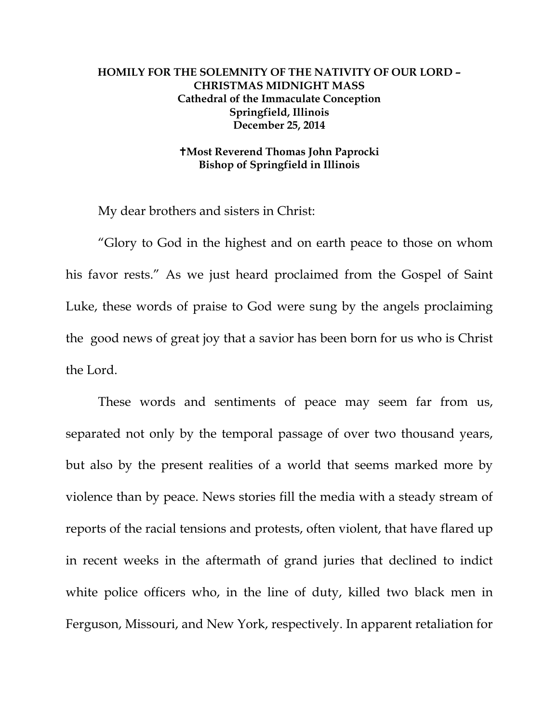## **HOMILY FOR THE SOLEMNITY OF THE NATIVITY OF OUR LORD – CHRISTMAS MIDNIGHT MASS Cathedral of the Immaculate Conception Springfield, Illinois December 25, 2014**

## **Most Reverend Thomas John Paprocki Bishop of Springfield in Illinois**

My dear brothers and sisters in Christ:

 "Glory to God in the highest and on earth peace to those on whom his favor rests." As we just heard proclaimed from the Gospel of Saint Luke, these words of praise to God were sung by the angels proclaiming the good news of great joy that a savior has been born for us who is Christ the Lord.

 These words and sentiments of peace may seem far from us, separated not only by the temporal passage of over two thousand years, but also by the present realities of a world that seems marked more by violence than by peace. News stories fill the media with a steady stream of reports of the racial tensions and protests, often violent, that have flared up in recent weeks in the aftermath of grand juries that declined to indict white police officers who, in the line of duty, killed two black men in Ferguson, Missouri, and New York, respectively. In apparent retaliation for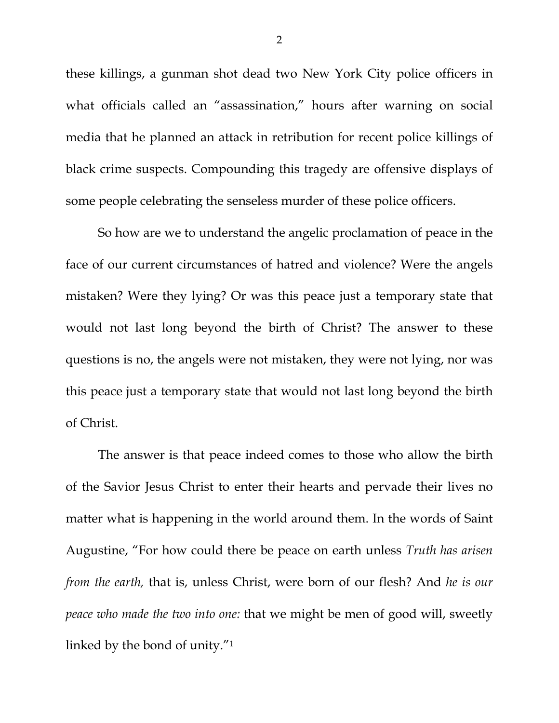these killings, a gunman shot dead two New York City police officers in what officials called an "assassination," hours after warning on social media that he planned an attack in retribution for recent police killings of black crime suspects. Compounding this tragedy are offensive displays of some people celebrating the senseless murder of these police officers.

 So how are we to understand the angelic proclamation of peace in the face of our current circumstances of hatred and violence? Were the angels mistaken? Were they lying? Or was this peace just a temporary state that would not last long beyond the birth of Christ? The answer to these questions is no, the angels were not mistaken, they were not lying, nor was this peace just a temporary state that would not last long beyond the birth of Christ.

 The answer is that peace indeed comes to those who allow the birth of the Savior Jesus Christ to enter their hearts and pervade their lives no matter what is happening in the world around them. In the words of Saint Augustine, "For how could there be peace on earth unless *Truth has arisen from the earth,* that is, unless Christ, were born of our flesh? And *he is our peace who made the two into one:* that we might be men of good will, sweetly linked by the bond of unity."1

2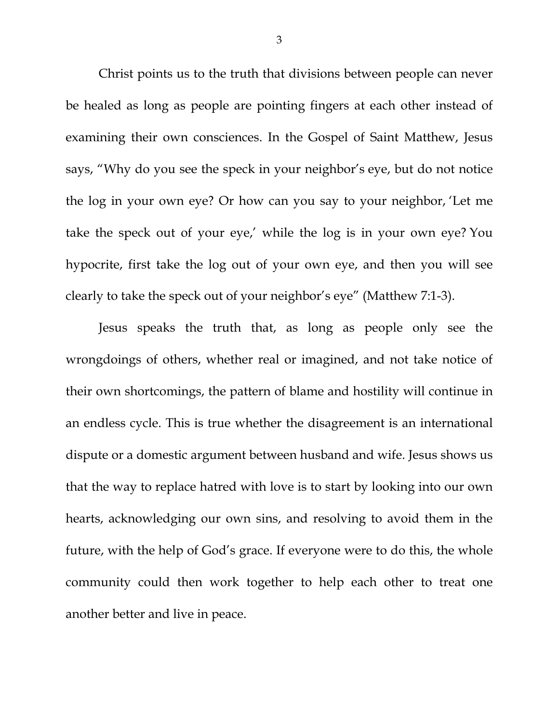Christ points us to the truth that divisions between people can never be healed as long as people are pointing fingers at each other instead of examining their own consciences. In the Gospel of Saint Matthew, Jesus says, "Why do you see the speck in your neighbor's eye, but do not notice the log in your own eye? Or how can you say to your neighbor, 'Let me take the speck out of your eye,' while the log is in your own eye? You hypocrite, first take the log out of your own eye, and then you will see clearly to take the speck out of your neighbor's eye" (Matthew 7:1-3).

Jesus speaks the truth that, as long as people only see the wrongdoings of others, whether real or imagined, and not take notice of their own shortcomings, the pattern of blame and hostility will continue in an endless cycle. This is true whether the disagreement is an international dispute or a domestic argument between husband and wife. Jesus shows us that the way to replace hatred with love is to start by looking into our own hearts, acknowledging our own sins, and resolving to avoid them in the future, with the help of God's grace. If everyone were to do this, the whole community could then work together to help each other to treat one another better and live in peace.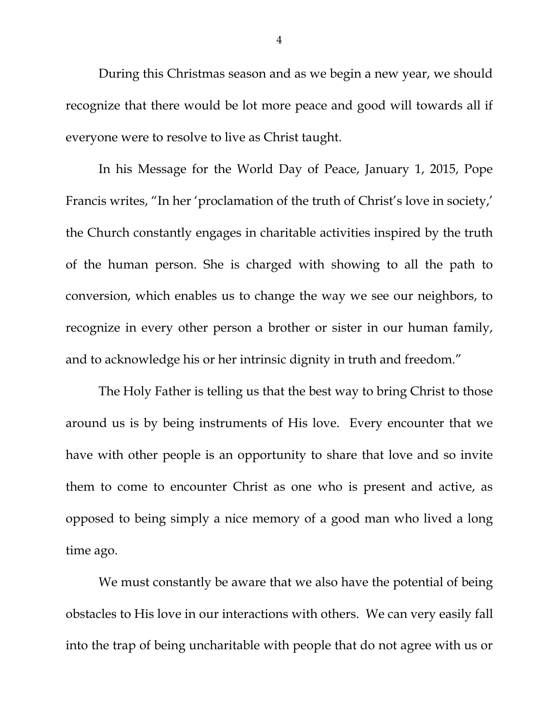During this Christmas season and as we begin a new year, we should recognize that there would be lot more peace and good will towards all if everyone were to resolve to live as Christ taught.

In his Message for the World Day of Peace, January 1, 2015, Pope Francis writes, "In her 'proclamation of the truth of Christ's love in society,' the Church constantly engages in charitable activities inspired by the truth of the human person. She is charged with showing to all the path to conversion, which enables us to change the way we see our neighbors, to recognize in every other person a brother or sister in our human family, and to acknowledge his or her intrinsic dignity in truth and freedom."

The Holy Father is telling us that the best way to bring Christ to those around us is by being instruments of His love. Every encounter that we have with other people is an opportunity to share that love and so invite them to come to encounter Christ as one who is present and active, as opposed to being simply a nice memory of a good man who lived a long time ago.

 We must constantly be aware that we also have the potential of being obstacles to His love in our interactions with others. We can very easily fall into the trap of being uncharitable with people that do not agree with us or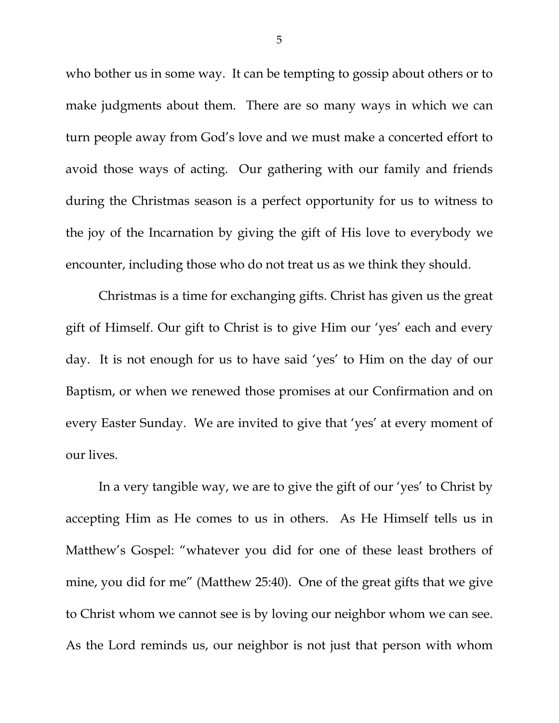who bother us in some way. It can be tempting to gossip about others or to make judgments about them. There are so many ways in which we can turn people away from God's love and we must make a concerted effort to avoid those ways of acting. Our gathering with our family and friends during the Christmas season is a perfect opportunity for us to witness to the joy of the Incarnation by giving the gift of His love to everybody we encounter, including those who do not treat us as we think they should.

Christmas is a time for exchanging gifts. Christ has given us the great gift of Himself. Our gift to Christ is to give Him our 'yes' each and every day. It is not enough for us to have said 'yes' to Him on the day of our Baptism, or when we renewed those promises at our Confirmation and on every Easter Sunday. We are invited to give that 'yes' at every moment of our lives.

 In a very tangible way, we are to give the gift of our 'yes' to Christ by accepting Him as He comes to us in others. As He Himself tells us in Matthew's Gospel: "whatever you did for one of these least brothers of mine, you did for me" (Matthew 25:40). One of the great gifts that we give to Christ whom we cannot see is by loving our neighbor whom we can see. As the Lord reminds us, our neighbor is not just that person with whom

5